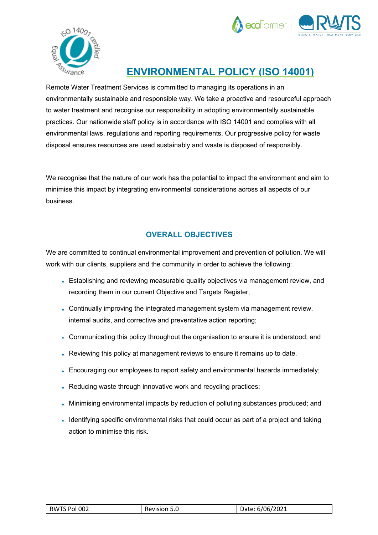



## **ENVIRONMENTAL POLICY (ISO 14001)**

Remote Water Treatment Services is committed to managing its operations in an environmentally sustainable and responsible way. We take a proactive and resourceful approach to water treatment and recognise our responsibility in adopting environmentally sustainable practices. Our nationwide staff policy is in accordance with ISO 14001 and complies with all environmental laws, regulations and reporting requirements. Our progressive policy for waste disposal ensures resources are used sustainably and waste is disposed of responsibly.

We recognise that the nature of our work has the potential to impact the environment and aim to minimise this impact by integrating environmental considerations across all aspects of our business.

## **OVERALL OBJECTIVES**

We are committed to continual environmental improvement and prevention of pollution. We will work with our clients, suppliers and the community in order to achieve the following:

- Establishing and reviewing measurable quality objectives via management review, and recording them in our current Objective and Targets Register;
- Continually improving the integrated management system via management review, internal audits, and corrective and preventative action reporting;
- Communicating this policy throughout the organisation to ensure it is understood; and
- Reviewing this policy at management reviews to ensure it remains up to date.
- Encouraging our employees to report safety and environmental hazards immediately;
- . Reducing waste through innovative work and recycling practices;
- Minimising environmental impacts by reduction of polluting substances produced; and
- Identifying specific environmental risks that could occur as part of a project and taking action to minimise this risk.

| RWTS Pol 002 | Revision 5.0 | Date: 6/06/2021 |  |
|--------------|--------------|-----------------|--|
|--------------|--------------|-----------------|--|